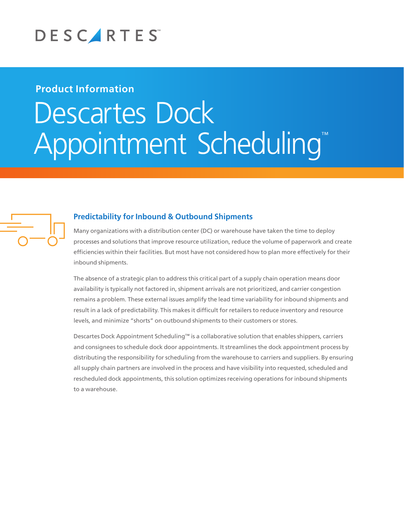

# **Product Information**

# Descartes Dock Appointment Scheduling™



## **Predictability for Inbound & Outbound Shipments**

Many organizations with a distribution center (DC) or warehouse have taken the time to deploy processes and solutions that improve resource utilization, reduce the volume of paperwork and create efficiencies within their facilities. But most have not considered how to plan more effectively for their inbound shipments.

The absence of a strategic plan to address this critical part of a supply chain operation means door availability is typically not factored in, shipment arrivals are not prioritized, and carrier congestion remains a problem. These external issues amplify the lead time variability for inbound shipments and result in a lack of predictability. This makes it difficult for retailers to reduce inventory and resource levels, and minimize "shorts" on outbound shipments to their customers or stores.

Descartes Dock Appointment Scheduling™ is a collaborative solution that enables shippers, carriers and consignees to schedule dock door appointments. It streamlines the dock appointment process by distributing the responsibility for scheduling from the warehouse to carriers and suppliers. By ensuring all supply chain partners are involved in the process and have visibility into requested, scheduled and rescheduled dock appointments, this solution optimizes receiving operations for inbound shipments to a warehouse.